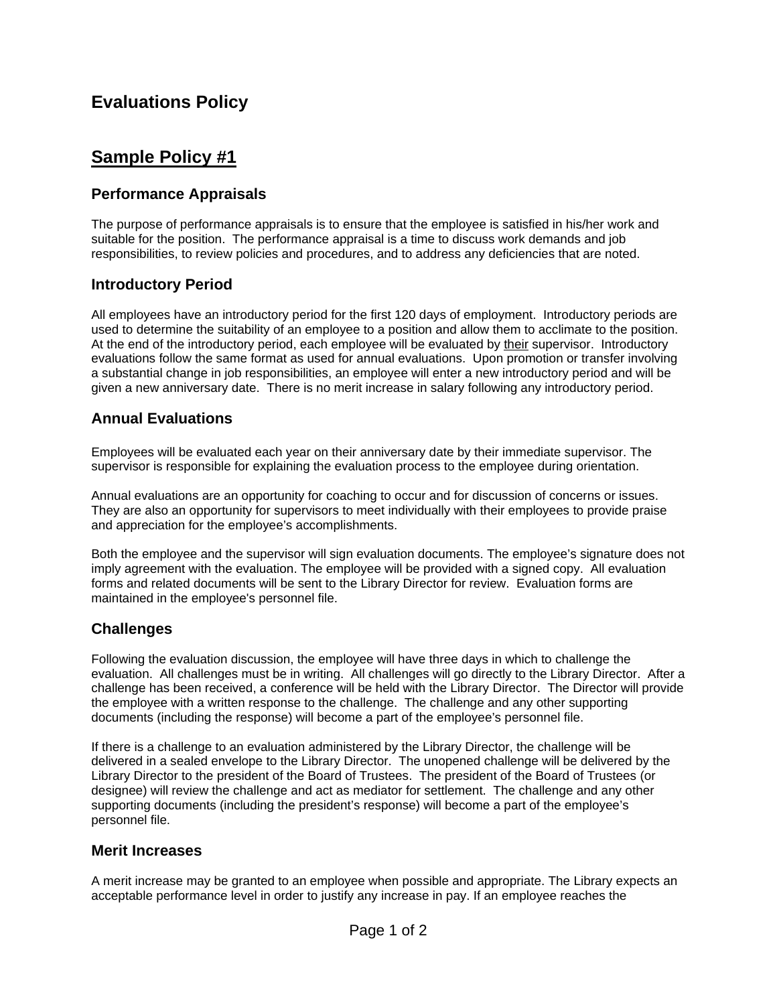# **Evaluations Policy**

## **Sample Policy #1**

## **Performance Appraisals**

The purpose of performance appraisals is to ensure that the employee is satisfied in his/her work and suitable for the position. The performance appraisal is a time to discuss work demands and job responsibilities, to review policies and procedures, and to address any deficiencies that are noted.

### **Introductory Period**

All employees have an introductory period for the first 120 days of employment. Introductory periods are used to determine the suitability of an employee to a position and allow them to acclimate to the position. At the end of the introductory period, each employee will be evaluated by their supervisor. Introductory evaluations follow the same format as used for annual evaluations. Upon promotion or transfer involving a substantial change in job responsibilities, an employee will enter a new introductory period and will be given a new anniversary date. There is no merit increase in salary following any introductory period.

### **Annual Evaluations**

Employees will be evaluated each year on their anniversary date by their immediate supervisor. The supervisor is responsible for explaining the evaluation process to the employee during orientation.

Annual evaluations are an opportunity for coaching to occur and for discussion of concerns or issues. They are also an opportunity for supervisors to meet individually with their employees to provide praise and appreciation for the employee's accomplishments.

Both the employee and the supervisor will sign evaluation documents. The employee's signature does not imply agreement with the evaluation. The employee will be provided with a signed copy. All evaluation forms and related documents will be sent to the Library Director for review. Evaluation forms are maintained in the employee's personnel file.

### **Challenges**

Following the evaluation discussion, the employee will have three days in which to challenge the evaluation. All challenges must be in writing. All challenges will go directly to the Library Director. After a challenge has been received, a conference will be held with the Library Director. The Director will provide the employee with a written response to the challenge. The challenge and any other supporting documents (including the response) will become a part of the employee's personnel file.

If there is a challenge to an evaluation administered by the Library Director, the challenge will be delivered in a sealed envelope to the Library Director. The unopened challenge will be delivered by the Library Director to the president of the Board of Trustees. The president of the Board of Trustees (or designee) will review the challenge and act as mediator for settlement. The challenge and any other supporting documents (including the president's response) will become a part of the employee's personnel file.

#### **Merit Increases**

A merit increase may be granted to an employee when possible and appropriate. The Library expects an acceptable performance level in order to justify any increase in pay. If an employee reaches the